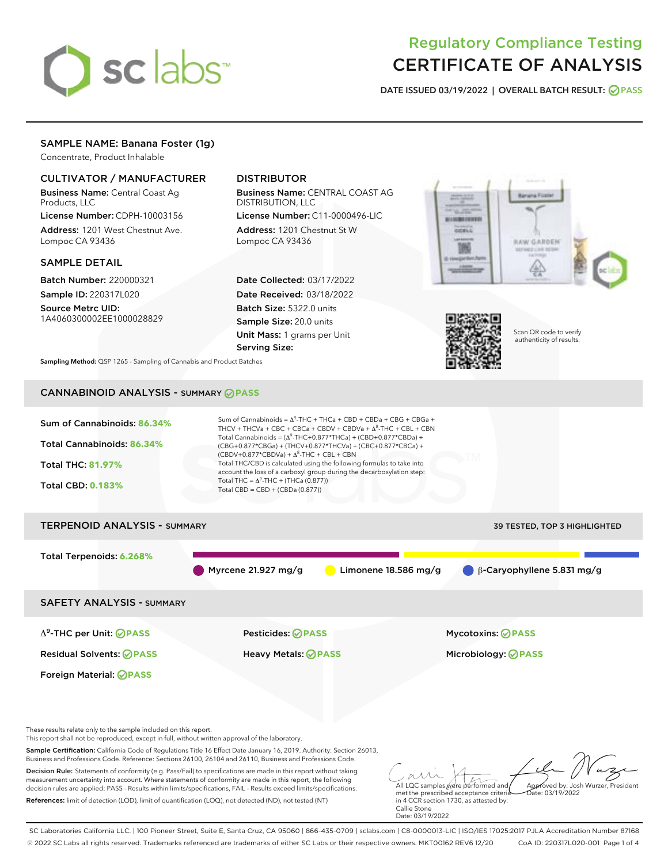# sclabs<sup>\*</sup>

# Regulatory Compliance Testing CERTIFICATE OF ANALYSIS

DATE ISSUED 03/19/2022 | OVERALL BATCH RESULT: @ PASS

#### SAMPLE NAME: Banana Foster (1g)

Concentrate, Product Inhalable

#### CULTIVATOR / MANUFACTURER

Business Name: Central Coast Ag Products, LLC

License Number: CDPH-10003156 Address: 1201 West Chestnut Ave. Lompoc CA 93436

#### SAMPLE DETAIL

Batch Number: 220000321 Sample ID: 220317L020

Source Metrc UID: 1A4060300002EE1000028829

## DISTRIBUTOR

Business Name: CENTRAL COAST AG DISTRIBUTION, LLC

License Number: C11-0000496-LIC Address: 1201 Chestnut St W Lompoc CA 93436

Date Collected: 03/17/2022 Date Received: 03/18/2022 Batch Size: 5322.0 units Sample Size: 20.0 units Unit Mass: 1 grams per Unit Serving Size:





Scan QR code to verify authenticity of results.

Sampling Method: QSP 1265 - Sampling of Cannabis and Product Batches

# CANNABINOID ANALYSIS - SUMMARY **PASS**

| Sum of Cannabinoids: 86.34%<br>Total Cannabinoids: 86.34%<br><b>Total THC: 81.97%</b><br><b>Total CBD: 0.183%</b>                                                                                                                                                                                                                                         | Sum of Cannabinoids = $\Delta^9$ -THC + THCa + CBD + CBDa + CBG + CBGa +<br>THCV + THCVa + CBC + CBCa + CBDV + CBDVa + $\Delta^8$ -THC + CBL + CBN<br>Total Cannabinoids = $(\Delta^9$ -THC+0.877*THCa) + (CBD+0.877*CBDa) +<br>(CBG+0.877*CBGa) + (THCV+0.877*THCVa) + (CBC+0.877*CBCa) +<br>$(CBDV+0.877*CBDVa) + \Delta^8$ -THC + CBL + CBN<br>Total THC/CBD is calculated using the following formulas to take into<br>account the loss of a carboxyl group during the decarboxylation step:<br>Total THC = $\Delta^9$ -THC + (THCa (0.877))<br>Total CBD = $CBD + (CBDa (0.877))$ |                                                                                                                                         |  |
|-----------------------------------------------------------------------------------------------------------------------------------------------------------------------------------------------------------------------------------------------------------------------------------------------------------------------------------------------------------|----------------------------------------------------------------------------------------------------------------------------------------------------------------------------------------------------------------------------------------------------------------------------------------------------------------------------------------------------------------------------------------------------------------------------------------------------------------------------------------------------------------------------------------------------------------------------------------|-----------------------------------------------------------------------------------------------------------------------------------------|--|
| <b>TERPENOID ANALYSIS - SUMMARY</b>                                                                                                                                                                                                                                                                                                                       |                                                                                                                                                                                                                                                                                                                                                                                                                                                                                                                                                                                        | 39 TESTED, TOP 3 HIGHLIGHTED                                                                                                            |  |
| Total Terpenoids: 6.268%                                                                                                                                                                                                                                                                                                                                  | Myrcene 21.927 mg/g                                                                                                                                                                                                                                                                                                                                                                                                                                                                                                                                                                    | Limonene 18.586 mg/g<br>β-Caryophyllene 5.831 mg/g                                                                                      |  |
| <b>SAFETY ANALYSIS - SUMMARY</b>                                                                                                                                                                                                                                                                                                                          |                                                                                                                                                                                                                                                                                                                                                                                                                                                                                                                                                                                        |                                                                                                                                         |  |
| $\Delta^9$ -THC per Unit: <b>OPASS</b>                                                                                                                                                                                                                                                                                                                    | Pesticides: ⊘PASS                                                                                                                                                                                                                                                                                                                                                                                                                                                                                                                                                                      | <b>Mycotoxins: ⊘PASS</b>                                                                                                                |  |
| <b>Residual Solvents: ØPASS</b>                                                                                                                                                                                                                                                                                                                           | <b>Heavy Metals: ⊘ PASS</b>                                                                                                                                                                                                                                                                                                                                                                                                                                                                                                                                                            | Microbiology: @PASS                                                                                                                     |  |
| Foreign Material: <b>⊘ PASS</b>                                                                                                                                                                                                                                                                                                                           |                                                                                                                                                                                                                                                                                                                                                                                                                                                                                                                                                                                        |                                                                                                                                         |  |
| These results relate only to the sample included on this report.<br>This report shall not be reproduced, except in full, without written approval of the laboratory.                                                                                                                                                                                      |                                                                                                                                                                                                                                                                                                                                                                                                                                                                                                                                                                                        |                                                                                                                                         |  |
| Sample Certification: California Code of Regulations Title 16 Effect Date January 16, 2019. Authority: Section 26013,<br>Business and Professions Code. Reference: Sections 26100, 26104 and 26110, Business and Professions Code.                                                                                                                        |                                                                                                                                                                                                                                                                                                                                                                                                                                                                                                                                                                                        |                                                                                                                                         |  |
| Decision Rule: Statements of conformity (e.g. Pass/Fail) to specifications are made in this report without taking<br>measurement uncertainty into account. Where statements of conformity are made in this report, the following<br>decision rules are applied: PASS - Results within limits/specifications, FAIL - Results exceed limits/specifications. |                                                                                                                                                                                                                                                                                                                                                                                                                                                                                                                                                                                        | Approved by: Josh Wurzer, President<br>All LQC samples were performed and<br>Date: 03/19/2022<br>met the prescribed acceptance criteria |  |

References: limit of detection (LOD), limit of quantification (LOQ), not detected (ND), not tested (NT)

All LQC samples were performed and<br>met the prescribed acceptance criteria in 4 CCR section 1730, as attested by: Callie Stone Date: 03/19/2022

SC Laboratories California LLC. | 100 Pioneer Street, Suite E, Santa Cruz, CA 95060 | 866-435-0709 | sclabs.com | C8-0000013-LIC | ISO/IES 17025:2017 PJLA Accreditation Number 87168 © 2022 SC Labs all rights reserved. Trademarks referenced are trademarks of either SC Labs or their respective owners. MKT00162 REV6 12/20 CoA ID: 220317L020-001 Page 1 of 4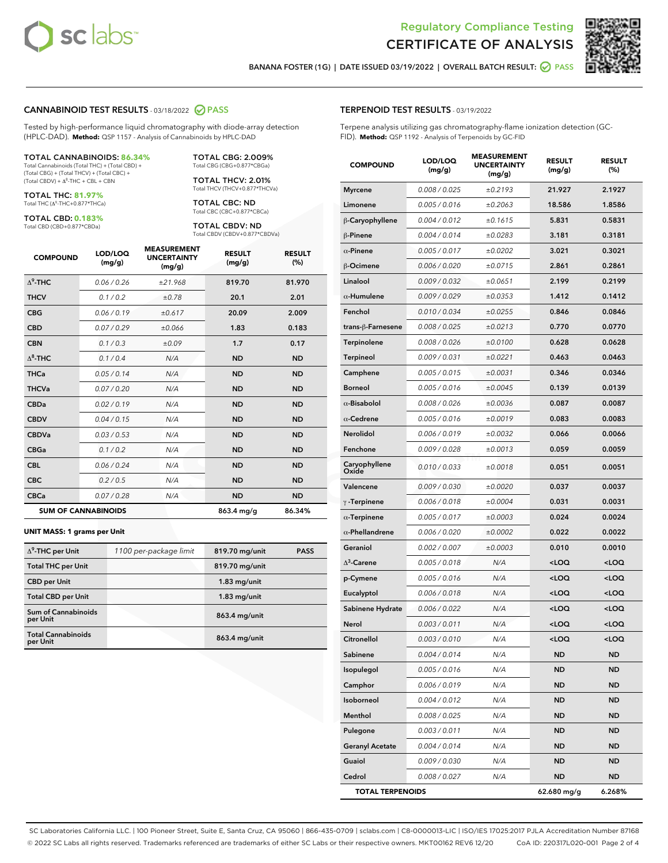



BANANA FOSTER (1G) | DATE ISSUED 03/19/2022 | OVERALL BATCH RESULT: 2 PASS

#### CANNABINOID TEST RESULTS - 03/18/2022 2 PASS

Tested by high-performance liquid chromatography with diode-array detection (HPLC-DAD). **Method:** QSP 1157 - Analysis of Cannabinoids by HPLC-DAD

#### TOTAL CANNABINOIDS: **86.34%**

Total Cannabinoids (Total THC) + (Total CBD) + (Total CBG) + (Total THCV) + (Total CBC) +  $(Total CBDV) +  $\Delta^8$ -THC + CBL + CBN$ 

TOTAL THC: **81.97%** Total THC (Δ<sup>9</sup> -THC+0.877\*THCa)

TOTAL CBD: **0.183%**

Total CBD (CBD+0.877\*CBDa)

TOTAL CBG: 2.009% Total CBG (CBG+0.877\*CBGa)

TOTAL THCV: 2.01% Total THCV (THCV+0.877\*THCVa)

TOTAL CBC: ND Total CBC (CBC+0.877\*CBCa)

TOTAL CBDV: ND Total CBDV (CBDV+0.877\*CBDVa)

| <b>COMPOUND</b>  | LOD/LOQ<br>(mg/g)          | <b>MEASUREMENT</b><br><b>UNCERTAINTY</b><br>(mg/g) | <b>RESULT</b><br>(mg/g) | <b>RESULT</b><br>(%) |
|------------------|----------------------------|----------------------------------------------------|-------------------------|----------------------|
| $\Lambda^9$ -THC | 0.06 / 0.26                | ±21.968                                            | 819.70                  | 81.970               |
| <b>THCV</b>      | 0.1 / 0.2                  | ±0.78                                              | 20.1                    | 2.01                 |
| <b>CBG</b>       | 0.06/0.19                  | ±0.617                                             | 20.09                   | 2.009                |
| <b>CBD</b>       | 0.07/0.29                  | ±0.066                                             | 1.83                    | 0.183                |
| <b>CBN</b>       | 0.1/0.3                    | ±0.09                                              | 1.7                     | 0.17                 |
| $\Delta^8$ -THC  | 0.1/0.4                    | N/A                                                | <b>ND</b>               | <b>ND</b>            |
| <b>THCa</b>      | 0.05/0.14                  | N/A                                                | <b>ND</b>               | <b>ND</b>            |
| <b>THCVa</b>     | 0.07 / 0.20                | N/A                                                | <b>ND</b>               | <b>ND</b>            |
| <b>CBDa</b>      | 0.02/0.19                  | N/A                                                | <b>ND</b>               | <b>ND</b>            |
| <b>CBDV</b>      | 0.04 / 0.15                | N/A                                                | <b>ND</b>               | <b>ND</b>            |
| <b>CBDVa</b>     | 0.03/0.53                  | N/A                                                | <b>ND</b>               | <b>ND</b>            |
| <b>CBGa</b>      | 0.1 / 0.2                  | N/A                                                | <b>ND</b>               | <b>ND</b>            |
| <b>CBL</b>       | 0.06 / 0.24                | N/A                                                | <b>ND</b>               | <b>ND</b>            |
| <b>CBC</b>       | 0.2 / 0.5                  | N/A                                                | <b>ND</b>               | <b>ND</b>            |
| <b>CBCa</b>      | 0.07 / 0.28                | N/A                                                | <b>ND</b>               | <b>ND</b>            |
|                  | <b>SUM OF CANNABINOIDS</b> |                                                    | 863.4 mg/g              | 86.34%               |

#### **UNIT MASS: 1 grams per Unit**

| $\Delta^9$ -THC per Unit               | 1100 per-package limit | 819.70 mg/unit | <b>PASS</b> |
|----------------------------------------|------------------------|----------------|-------------|
| <b>Total THC per Unit</b>              |                        | 819.70 mg/unit |             |
| <b>CBD per Unit</b>                    |                        | $1.83$ mg/unit |             |
| <b>Total CBD per Unit</b>              |                        | $1.83$ mg/unit |             |
| <b>Sum of Cannabinoids</b><br>per Unit |                        | 863.4 mg/unit  |             |
| <b>Total Cannabinoids</b><br>per Unit  |                        | 863.4 mg/unit  |             |

| <b>COMPOUND</b>         | LOD/LOQ<br>(mg/g) | <b>MEASUREMENT</b><br><b>UNCERTAINTY</b><br>(mg/g) | <b>RESULT</b><br>(mg/g)                         | <b>RESULT</b><br>(%) |
|-------------------------|-------------------|----------------------------------------------------|-------------------------------------------------|----------------------|
| <b>Myrcene</b>          | 0.008 / 0.025     | ±0.2193                                            | 21.927                                          | 2.1927               |
| Limonene                | 0.005 / 0.016     | ±0.2063                                            | 18.586                                          | 1.8586               |
| β-Caryophyllene         | 0.004 / 0.012     | ±0.1615                                            | 5.831                                           | 0.5831               |
| β-Pinene                | 0.004 / 0.014     | ±0.0283                                            | 3.181                                           | 0.3181               |
| $\alpha$ -Pinene        | 0.005 / 0.017     | ±0.0202                                            | 3.021                                           | 0.3021               |
| β-Ocimene               | 0.006 / 0.020     | ±0.0715                                            | 2.861                                           | 0.2861               |
| Linalool                | 0.009 / 0.032     | ±0.0651                                            | 2.199                                           | 0.2199               |
| $\alpha$ -Humulene      | 0.009 / 0.029     | ±0.0353                                            | 1.412                                           | 0.1412               |
| Fenchol                 | 0.010 / 0.034     | ±0.0255                                            | 0.846                                           | 0.0846               |
| trans-β-Farnesene       | 0.008 / 0.025     | ±0.0213                                            | 0.770                                           | 0.0770               |
| Terpinolene             | 0.008 / 0.026     | ±0.0100                                            | 0.628                                           | 0.0628               |
| Terpineol               | 0.009 / 0.031     | ±0.0221                                            | 0.463                                           | 0.0463               |
| Camphene                | 0.005 / 0.015     | ±0.0031                                            | 0.346                                           | 0.0346               |
| <b>Borneol</b>          | 0.005 / 0.016     | ±0.0045                                            | 0.139                                           | 0.0139               |
| $\alpha$ -Bisabolol     | 0.008 / 0.026     | ±0.0036                                            | 0.087                                           | 0.0087               |
| $\alpha$ -Cedrene       | 0.005 / 0.016     | ±0.0019                                            | 0.083                                           | 0.0083               |
| Nerolidol               | 0.006 / 0.019     | ±0.0032                                            | 0.066                                           | 0.0066               |
| Fenchone                | 0.009 / 0.028     | ±0.0013                                            | 0.059                                           | 0.0059               |
| Caryophyllene<br>Oxide  | 0.010 / 0.033     | ±0.0018                                            | 0.051                                           | 0.0051               |
| Valencene               | 0.009 / 0.030     | ±0.0020                                            | 0.037                                           | 0.0037               |
| $\gamma$ -Terpinene     | 0.006 / 0.018     | ±0.0004                                            | 0.031                                           | 0.0031               |
| $\alpha$ -Terpinene     | 0.005 / 0.017     | ±0.0003                                            | 0.024                                           | 0.0024               |
| $\alpha$ -Phellandrene  | 0.006 / 0.020     | ±0.0002                                            | 0.022                                           | 0.0022               |
| Geraniol                | 0.002 / 0.007     | ±0.0003                                            | 0.010                                           | 0.0010               |
| $\Delta^3$ -Carene      | 0.005 / 0.018     | N/A                                                | <loq< th=""><th><loq< th=""></loq<></th></loq<> | <loq< th=""></loq<>  |
| p-Cymene                | 0.005 / 0.016     | N/A                                                | <loq< th=""><th><loq< th=""></loq<></th></loq<> | <loq< th=""></loq<>  |
| Eucalyptol              | 0.006 / 0.018     | N/A                                                | <loq< th=""><th><loq< th=""></loq<></th></loq<> | <loq< th=""></loq<>  |
| Sabinene Hydrate        | 0.006 / 0.022     | N/A                                                | <loq< th=""><th><loq< th=""></loq<></th></loq<> | <loq< th=""></loq<>  |
| Nerol                   | 0.003 / 0.011     | N/A                                                | <loq< th=""><th><loq< th=""></loq<></th></loq<> | <loq< th=""></loq<>  |
| Citronellol             | 0.003 / 0.010     | N/A                                                | $\leq$ 00                                       | $\sim$ 0.0           |
| Sabinene                | 0.004 / 0.014     | N/A                                                | ND                                              | ND                   |
| Isopulegol              | 0.005 / 0.016     | N/A                                                | <b>ND</b>                                       | ND                   |
| Camphor                 | 0.006 / 0.019     | N/A                                                | ND                                              | ND                   |
| Isoborneol              | 0.004 / 0.012     | N/A                                                | ND                                              | ND                   |
| Menthol                 | 0.008 / 0.025     | N/A                                                | ND                                              | <b>ND</b>            |
| Pulegone                | 0.003 / 0.011     | N/A                                                | ND                                              | ND                   |
| <b>Geranyl Acetate</b>  | 0.004 / 0.014     | N/A                                                | ND                                              | ND                   |
| Guaiol                  | 0.009 / 0.030     | N/A                                                | ND                                              | ND                   |
| Cedrol                  | 0.008 / 0.027     | N/A                                                | <b>ND</b>                                       | ND                   |
| <b>TOTAL TERPENOIDS</b> |                   |                                                    | 62.680 mg/g                                     | 6.268%               |

SC Laboratories California LLC. | 100 Pioneer Street, Suite E, Santa Cruz, CA 95060 | 866-435-0709 | sclabs.com | C8-0000013-LIC | ISO/IES 17025:2017 PJLA Accreditation Number 87168 © 2022 SC Labs all rights reserved. Trademarks referenced are trademarks of either SC Labs or their respective owners. MKT00162 REV6 12/20 CoA ID: 220317L020-001 Page 2 of 4

#### TERPENOID TEST RESULTS - 03/19/2022

Terpene analysis utilizing gas chromatography-flame ionization detection (GC-FID). **Method:** QSP 1192 - Analysis of Terpenoids by GC-FID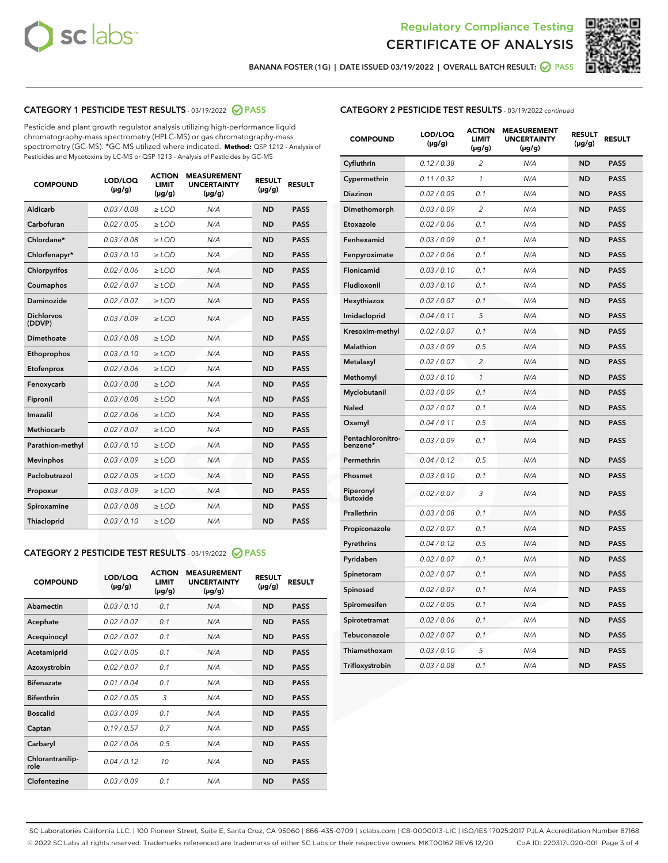



BANANA FOSTER (1G) | DATE ISSUED 03/19/2022 | OVERALL BATCH RESULT: 0 PASS

# CATEGORY 1 PESTICIDE TEST RESULTS - 03/19/2022 2 PASS

Pesticide and plant growth regulator analysis utilizing high-performance liquid chromatography-mass spectrometry (HPLC-MS) or gas chromatography-mass spectrometry (GC-MS). \*GC-MS utilized where indicated. **Method:** QSP 1212 - Analysis of Pesticides and Mycotoxins by LC-MS or QSP 1213 - Analysis of Pesticides by GC-MS

| <b>COMPOUND</b>             | LOD/LOQ<br>$(\mu g/g)$ | <b>ACTION</b><br>LIMIT<br>$(\mu g/g)$ | <b>MEASUREMENT</b><br><b>UNCERTAINTY</b><br>$(\mu g/g)$ | <b>RESULT</b><br>$(\mu g/g)$ | <b>RESULT</b> |
|-----------------------------|------------------------|---------------------------------------|---------------------------------------------------------|------------------------------|---------------|
| Aldicarb                    | 0.03 / 0.08            | $\ge$ LOD                             | N/A                                                     | <b>ND</b>                    | <b>PASS</b>   |
| Carbofuran                  | 0.02 / 0.05            | $\ge$ LOD                             | N/A                                                     | <b>ND</b>                    | <b>PASS</b>   |
| Chlordane*                  | 0.03 / 0.08            | $\ge$ LOD                             | N/A                                                     | <b>ND</b>                    | <b>PASS</b>   |
| Chlorfenapyr*               | 0.03/0.10              | $\ge$ LOD                             | N/A                                                     | <b>ND</b>                    | <b>PASS</b>   |
| Chlorpyrifos                | 0.02 / 0.06            | $\ge$ LOD                             | N/A                                                     | <b>ND</b>                    | <b>PASS</b>   |
| Coumaphos                   | 0.02 / 0.07            | $>$ LOD                               | N/A                                                     | <b>ND</b>                    | <b>PASS</b>   |
| Daminozide                  | 0.02 / 0.07            | $\ge$ LOD                             | N/A                                                     | <b>ND</b>                    | <b>PASS</b>   |
| <b>Dichlorvos</b><br>(DDVP) | 0.03/0.09              | $\ge$ LOD                             | N/A                                                     | <b>ND</b>                    | <b>PASS</b>   |
| Dimethoate                  | 0.03/0.08              | $>$ LOD                               | N/A                                                     | <b>ND</b>                    | <b>PASS</b>   |
| Ethoprophos                 | 0.03/0.10              | $\ge$ LOD                             | N/A                                                     | <b>ND</b>                    | <b>PASS</b>   |
| Etofenprox                  | 0.02 / 0.06            | $>$ LOD                               | N/A                                                     | <b>ND</b>                    | <b>PASS</b>   |
| Fenoxycarb                  | 0.03/0.08              | $\ge$ LOD                             | N/A                                                     | <b>ND</b>                    | <b>PASS</b>   |
| Fipronil                    | 0.03/0.08              | $\ge$ LOD                             | N/A                                                     | <b>ND</b>                    | <b>PASS</b>   |
| Imazalil                    | 0.02 / 0.06            | $>$ LOD                               | N/A                                                     | <b>ND</b>                    | <b>PASS</b>   |
| <b>Methiocarb</b>           | 0.02 / 0.07            | $>$ LOD                               | N/A                                                     | <b>ND</b>                    | <b>PASS</b>   |
| Parathion-methyl            | 0.03/0.10              | $\ge$ LOD                             | N/A                                                     | <b>ND</b>                    | <b>PASS</b>   |
| <b>Mevinphos</b>            | 0.03/0.09              | $\ge$ LOD                             | N/A                                                     | <b>ND</b>                    | <b>PASS</b>   |
| Paclobutrazol               | 0.02 / 0.05            | $\geq$ LOD                            | N/A                                                     | <b>ND</b>                    | <b>PASS</b>   |
| Propoxur                    | 0.03/0.09              | $\ge$ LOD                             | N/A                                                     | <b>ND</b>                    | <b>PASS</b>   |
| Spiroxamine                 | 0.03 / 0.08            | $\ge$ LOD                             | N/A                                                     | <b>ND</b>                    | <b>PASS</b>   |
| Thiacloprid                 | 0.03/0.10              | $\geq$ LOD                            | N/A                                                     | <b>ND</b>                    | <b>PASS</b>   |

## CATEGORY 2 PESTICIDE TEST RESULTS - 03/19/2022 @ PASS

| <b>COMPOUND</b>          | LOD/LOO<br>$(\mu g/g)$ | <b>ACTION</b><br><b>LIMIT</b><br>$(\mu g/g)$ | <b>MEASUREMENT</b><br><b>UNCERTAINTY</b><br>$(\mu g/g)$ | <b>RESULT</b><br>$(\mu g/g)$ | <b>RESULT</b> |  |
|--------------------------|------------------------|----------------------------------------------|---------------------------------------------------------|------------------------------|---------------|--|
| Abamectin                | 0.03/0.10              | 0.1                                          | N/A                                                     | <b>ND</b>                    | <b>PASS</b>   |  |
| Acephate                 | 0.02/0.07              | 0.1                                          | N/A                                                     | <b>ND</b>                    | <b>PASS</b>   |  |
| Acequinocyl              | 0.02/0.07              | 0.1                                          | N/A                                                     | <b>ND</b>                    | <b>PASS</b>   |  |
| Acetamiprid              | 0.02/0.05              | 0.1                                          | N/A                                                     | <b>ND</b>                    | <b>PASS</b>   |  |
| Azoxystrobin             | 0.02/0.07              | 0.1                                          | N/A                                                     | <b>ND</b>                    | <b>PASS</b>   |  |
| <b>Bifenazate</b>        | 0.01/0.04              | 0.1                                          | N/A                                                     | <b>ND</b>                    | <b>PASS</b>   |  |
| <b>Bifenthrin</b>        | 0.02 / 0.05            | 3                                            | N/A                                                     | <b>ND</b>                    | <b>PASS</b>   |  |
| <b>Boscalid</b>          | 0.03/0.09              | 0.1                                          | N/A                                                     | <b>ND</b>                    | <b>PASS</b>   |  |
| Captan                   | 0.19/0.57              | 0.7                                          | N/A                                                     | <b>ND</b>                    | <b>PASS</b>   |  |
| Carbaryl                 | 0.02/0.06              | 0.5                                          | N/A                                                     | <b>ND</b>                    | <b>PASS</b>   |  |
| Chlorantranilip-<br>role | 0.04/0.12              | 10                                           | N/A                                                     | <b>ND</b>                    | <b>PASS</b>   |  |
| Clofentezine             | 0.03/0.09              | 0 <sub>1</sub>                               | N/A                                                     | <b>ND</b>                    | <b>PASS</b>   |  |

#### CATEGORY 2 PESTICIDE TEST RESULTS - 03/19/2022 continued

| <b>COMPOUND</b>               | LOD/LOQ<br>(µg/g) | <b>ACTION</b><br><b>LIMIT</b><br>(µg/g) | <b>MEASUREMENT</b><br><b>UNCERTAINTY</b><br>$(\mu g/g)$ | <b>RESULT</b><br>(µg/g) | <b>RESULT</b> |
|-------------------------------|-------------------|-----------------------------------------|---------------------------------------------------------|-------------------------|---------------|
| Cyfluthrin                    | 0.12 / 0.38       | 2                                       | N/A                                                     | <b>ND</b>               | <b>PASS</b>   |
| Cypermethrin                  | 0.11 / 0.32       | $\mathbf{1}$                            | N/A                                                     | <b>ND</b>               | <b>PASS</b>   |
| <b>Diazinon</b>               | 0.02 / 0.05       | 0.1                                     | N/A                                                     | <b>ND</b>               | <b>PASS</b>   |
| Dimethomorph                  | 0.03 / 0.09       | 2                                       | N/A                                                     | <b>ND</b>               | <b>PASS</b>   |
| Etoxazole                     | 0.02 / 0.06       | 0.1                                     | N/A                                                     | ND                      | <b>PASS</b>   |
| Fenhexamid                    | 0.03 / 0.09       | 0.1                                     | N/A                                                     | <b>ND</b>               | <b>PASS</b>   |
| Fenpyroximate                 | 0.02 / 0.06       | 0.1                                     | N/A                                                     | <b>ND</b>               | <b>PASS</b>   |
| Flonicamid                    | 0.03 / 0.10       | 0.1                                     | N/A                                                     | <b>ND</b>               | <b>PASS</b>   |
| Fludioxonil                   | 0.03 / 0.10       | 0.1                                     | N/A                                                     | <b>ND</b>               | <b>PASS</b>   |
| Hexythiazox                   | 0.02 / 0.07       | 0.1                                     | N/A                                                     | <b>ND</b>               | <b>PASS</b>   |
| Imidacloprid                  | 0.04 / 0.11       | 5                                       | N/A                                                     | <b>ND</b>               | <b>PASS</b>   |
| Kresoxim-methyl               | 0.02 / 0.07       | 0.1                                     | N/A                                                     | ND                      | <b>PASS</b>   |
| <b>Malathion</b>              | 0.03 / 0.09       | 0.5                                     | N/A                                                     | <b>ND</b>               | <b>PASS</b>   |
| Metalaxyl                     | 0.02 / 0.07       | 2                                       | N/A                                                     | <b>ND</b>               | <b>PASS</b>   |
| Methomyl                      | 0.03 / 0.10       | $\mathbf{1}$                            | N/A                                                     | <b>ND</b>               | <b>PASS</b>   |
| Myclobutanil                  | 0.03 / 0.09       | 0.1                                     | N/A                                                     | <b>ND</b>               | <b>PASS</b>   |
| <b>Naled</b>                  | 0.02 / 0.07       | 0.1                                     | N/A                                                     | <b>ND</b>               | <b>PASS</b>   |
| Oxamyl                        | 0.04 / 0.11       | 0.5                                     | N/A                                                     | ND                      | <b>PASS</b>   |
| Pentachloronitro-<br>benzene* | 0.03 / 0.09       | 0.1                                     | N/A                                                     | <b>ND</b>               | <b>PASS</b>   |
| Permethrin                    | 0.04/0.12         | 0.5                                     | N/A                                                     | <b>ND</b>               | <b>PASS</b>   |
| Phosmet                       | 0.03 / 0.10       | 0.1                                     | N/A                                                     | <b>ND</b>               | <b>PASS</b>   |
| Piperonyl<br><b>Butoxide</b>  | 0.02 / 0.07       | 3                                       | N/A                                                     | <b>ND</b>               | <b>PASS</b>   |
| Prallethrin                   | 0.03 / 0.08       | 0.1                                     | N/A                                                     | <b>ND</b>               | <b>PASS</b>   |
| Propiconazole                 | 0.02 / 0.07       | 0.1                                     | N/A                                                     | <b>ND</b>               | <b>PASS</b>   |
| Pyrethrins                    | 0.04 / 0.12       | 0.5                                     | N/A                                                     | <b>ND</b>               | <b>PASS</b>   |
| Pyridaben                     | 0.02 / 0.07       | 0.1                                     | N/A                                                     | <b>ND</b>               | PASS          |
| Spinetoram                    | 0.02 / 0.07       | 0.1                                     | N/A                                                     | ND                      | <b>PASS</b>   |
| Spinosad                      | 0.02 / 0.07       | 0.1                                     | N/A                                                     | <b>ND</b>               | <b>PASS</b>   |
| Spiromesifen                  | 0.02 / 0.05       | 0.1                                     | N/A                                                     | <b>ND</b>               | <b>PASS</b>   |
| Spirotetramat                 | 0.02 / 0.06       | 0.1                                     | N/A                                                     | ND                      | PASS          |
| Tebuconazole                  | 0.02 / 0.07       | 0.1                                     | N/A                                                     | <b>ND</b>               | <b>PASS</b>   |
| Thiamethoxam                  | 0.03 / 0.10       | 5                                       | N/A                                                     | ND                      | <b>PASS</b>   |
| Trifloxystrobin               | 0.03 / 0.08       | 0.1                                     | N/A                                                     | <b>ND</b>               | <b>PASS</b>   |

SC Laboratories California LLC. | 100 Pioneer Street, Suite E, Santa Cruz, CA 95060 | 866-435-0709 | sclabs.com | C8-0000013-LIC | ISO/IES 17025:2017 PJLA Accreditation Number 87168 © 2022 SC Labs all rights reserved. Trademarks referenced are trademarks of either SC Labs or their respective owners. MKT00162 REV6 12/20 CoA ID: 220317L020-001 Page 3 of 4